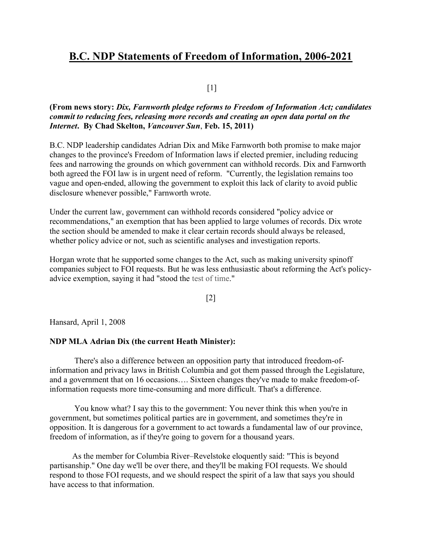# B.C. NDP Statements of Freedom of Information, 2006-2021

## $[1]$

## (From news story: Dix, Farnworth pledge reforms to Freedom of Information Act; candidates commit to reducing fees, releasing more records and creating an open data portal on the Internet. By Chad Skelton, Vancouver Sun, Feb. 15, 2011)

B.C. NDP leadership candidates Adrian Dix and Mike Farnworth both promise to make major changes to the province's Freedom of Information laws if elected premier, including reducing fees and narrowing the grounds on which government can withhold records. Dix and Farnworth both agreed the FOI law is in urgent need of reform. "Currently, the legislation remains too vague and open-ended, allowing the government to exploit this lack of clarity to avoid public disclosure whenever possible," Farnworth wrote.

Under the current law, government can withhold records considered "policy advice or recommendations," an exemption that has been applied to large volumes of records. Dix wrote the section should be amended to make it clear certain records should always be released, whether policy advice or not, such as scientific analyses and investigation reports.

Horgan wrote that he supported some changes to the Act, such as making university spinoff companies subject to FOI requests. But he was less enthusiastic about reforming the Act's policyadvice exemption, saying it had "stood the test of time."

[2]

Hansard, April 1, 2008

## NDP MLA Adrian Dix (the current Heath Minister):

There's also a difference between an opposition party that introduced freedom-ofinformation and privacy laws in British Columbia and got them passed through the Legislature, and a government that on 16 occasions…. Sixteen changes they've made to make freedom-ofinformation requests more time-consuming and more difficult. That's a difference.

You know what? I say this to the government: You never think this when you're in government, but sometimes political parties are in government, and sometimes they're in opposition. It is dangerous for a government to act towards a fundamental law of our province, freedom of information, as if they're going to govern for a thousand years.

 As the member for Columbia River–Revelstoke eloquently said: "This is beyond partisanship." One day we'll be over there, and they'll be making FOI requests. We should respond to those FOI requests, and we should respect the spirit of a law that says you should have access to that information.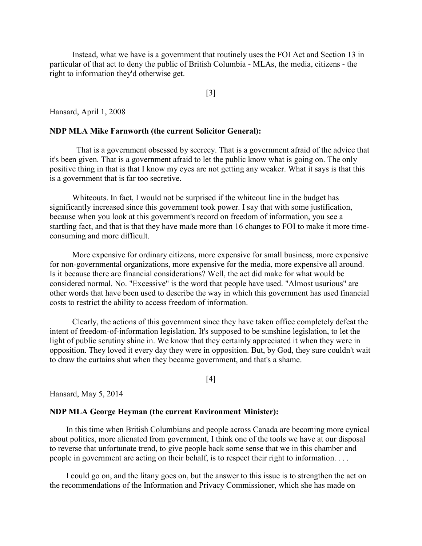Instead, what we have is a government that routinely uses the FOI Act and Section 13 in particular of that act to deny the public of British Columbia - MLAs, the media, citizens - the right to information they'd otherwise get.

[3]

Hansard, April 1, 2008

### NDP MLA Mike Farnworth (the current Solicitor General):

 That is a government obsessed by secrecy. That is a government afraid of the advice that it's been given. That is a government afraid to let the public know what is going on. The only positive thing in that is that I know my eyes are not getting any weaker. What it says is that this is a government that is far too secretive.

 Whiteouts. In fact, I would not be surprised if the whiteout line in the budget has significantly increased since this government took power. I say that with some justification, because when you look at this government's record on freedom of information, you see a startling fact, and that is that they have made more than 16 changes to FOI to make it more timeconsuming and more difficult.

 More expensive for ordinary citizens, more expensive for small business, more expensive for non-governmental organizations, more expensive for the media, more expensive all around. Is it because there are financial considerations? Well, the act did make for what would be considered normal. No. "Excessive" is the word that people have used. "Almost usurious" are other words that have been used to describe the way in which this government has used financial costs to restrict the ability to access freedom of information.

 Clearly, the actions of this government since they have taken office completely defeat the intent of freedom-of-information legislation. It's supposed to be sunshine legislation, to let the light of public scrutiny shine in. We know that they certainly appreciated it when they were in opposition. They loved it every day they were in opposition. But, by God, they sure couldn't wait to draw the curtains shut when they became government, and that's a shame.

[4]

Hansard, May 5, 2014

### NDP MLA George Heyman (the current Environment Minister):

In this time when British Columbians and people across Canada are becoming more cynical about politics, more alienated from government, I think one of the tools we have at our disposal to reverse that unfortunate trend, to give people back some sense that we in this chamber and people in government are acting on their behalf, is to respect their right to information. . . .

I could go on, and the litany goes on, but the answer to this issue is to strengthen the act on the recommendations of the Information and Privacy Commissioner, which she has made on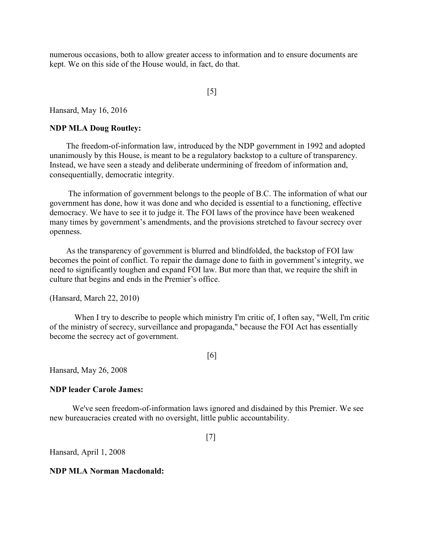numerous occasions, both to allow greater access to information and to ensure documents are kept. We on this side of the House would, in fact, do that.

## [5]

Hansard, May 16, 2016

### NDP MLA Doug Routley:

The freedom-of-information law, introduced by the NDP government in 1992 and adopted unanimously by this House, is meant to be a regulatory backstop to a culture of transparency. Instead, we have seen a steady and deliberate undermining of freedom of information and, consequentially, democratic integrity.

 The information of government belongs to the people of B.C. The information of what our government has done, how it was done and who decided is essential to a functioning, effective democracy. We have to see it to judge it. The FOI laws of the province have been weakened many times by government's amendments, and the provisions stretched to favour secrecy over openness.

As the transparency of government is blurred and blindfolded, the backstop of FOI law becomes the point of conflict. To repair the damage done to faith in government's integrity, we need to significantly toughen and expand FOI law. But more than that, we require the shift in culture that begins and ends in the Premier's office.

(Hansard, March 22, 2010)

When I try to describe to people which ministry I'm critic of, I often say, "Well, I'm critic of the ministry of secrecy, surveillance and propaganda," because the FOI Act has essentially become the secrecy act of government.

[6]

Hansard, May 26, 2008

#### NDP leader Carole James:

 We've seen freedom-of-information laws ignored and disdained by this Premier. We see new bureaucracies created with no oversight, little public accountability.

[7]

Hansard, April 1, 2008

### NDP MLA Norman Macdonald: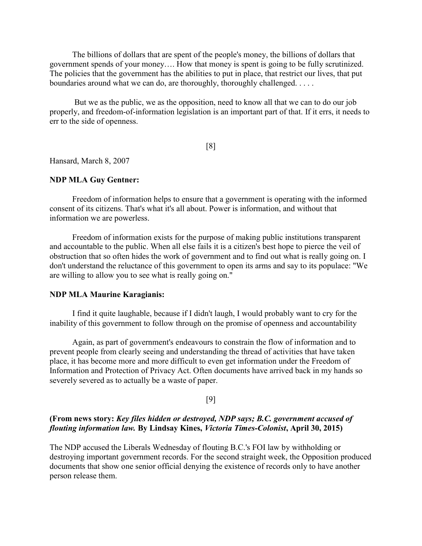The billions of dollars that are spent of the people's money, the billions of dollars that government spends of your money…. How that money is spent is going to be fully scrutinized. The policies that the government has the abilities to put in place, that restrict our lives, that put boundaries around what we can do, are thoroughly, thoroughly challenged. . . . .

 But we as the public, we as the opposition, need to know all that we can to do our job properly, and freedom-of-information legislation is an important part of that. If it errs, it needs to err to the side of openness.

[8]

Hansard, March 8, 2007

## NDP MLA Guy Gentner:

 Freedom of information helps to ensure that a government is operating with the informed consent of its citizens. That's what it's all about. Power is information, and without that information we are powerless.

 Freedom of information exists for the purpose of making public institutions transparent and accountable to the public. When all else fails it is a citizen's best hope to pierce the veil of obstruction that so often hides the work of government and to find out what is really going on. I don't understand the reluctance of this government to open its arms and say to its populace: "We are willing to allow you to see what is really going on."

#### NDP MLA Maurine Karagianis:

 I find it quite laughable, because if I didn't laugh, I would probably want to cry for the inability of this government to follow through on the promise of openness and accountability

 Again, as part of government's endeavours to constrain the flow of information and to prevent people from clearly seeing and understanding the thread of activities that have taken place, it has become more and more difficult to even get information under the Freedom of Information and Protection of Privacy Act. Often documents have arrived back in my hands so severely severed as to actually be a waste of paper.

## [9]

## (From news story: Key files hidden or destroyed, NDP says; B.C. government accused of flouting information law. By Lindsay Kines, Victoria Times-Colonist, April 30, 2015)

The NDP accused the Liberals Wednesday of flouting B.C.'s FOI law by withholding or destroying important government records. For the second straight week, the Opposition produced documents that show one senior official denying the existence of records only to have another person release them.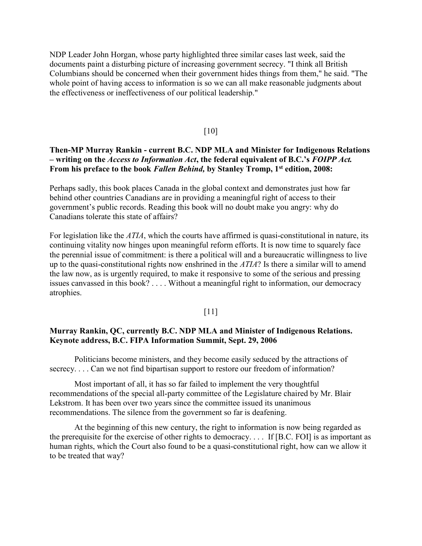NDP Leader John Horgan, whose party highlighted three similar cases last week, said the documents paint a disturbing picture of increasing government secrecy. "I think all British Columbians should be concerned when their government hides things from them," he said. "The whole point of having access to information is so we can all make reasonable judgments about the effectiveness or ineffectiveness of our political leadership."

### [10]

## Then-MP Murray Rankin - current B.C. NDP MLA and Minister for Indigenous Relations – writing on the Access to Information Act, the federal equivalent of B.C.'s FOIPP Act. From his preface to the book Fallen Behind, by Stanley Tromp, 1<sup>st</sup> edition, 2008:

Perhaps sadly, this book places Canada in the global context and demonstrates just how far behind other countries Canadians are in providing a meaningful right of access to their government's public records. Reading this book will no doubt make you angry: why do Canadians tolerate this state of affairs?

For legislation like the ATIA, which the courts have affirmed is quasi-constitutional in nature, its continuing vitality now hinges upon meaningful reform efforts. It is now time to squarely face the perennial issue of commitment: is there a political will and a bureaucratic willingness to live up to the quasi-constitutional rights now enshrined in the  $ATIA$ ? Is there a similar will to amend the law now, as is urgently required, to make it responsive to some of the serious and pressing issues canvassed in this book? . . . . Without a meaningful right to information, our democracy atrophies.

### [11]

## Murray Rankin, QC, currently B.C. NDP MLA and Minister of Indigenous Relations. Keynote address, B.C. FIPA Information Summit, Sept. 29, 2006

Politicians become ministers, and they become easily seduced by the attractions of secrecy. . . . Can we not find bipartisan support to restore our freedom of information?

Most important of all, it has so far failed to implement the very thoughtful recommendations of the special all-party committee of the Legislature chaired by Mr. Blair Lekstrom. It has been over two years since the committee issued its unanimous recommendations. The silence from the government so far is deafening.

At the beginning of this new century, the right to information is now being regarded as the prerequisite for the exercise of other rights to democracy. . . . If [B.C. FOI] is as important as human rights, which the Court also found to be a quasi-constitutional right, how can we allow it to be treated that way?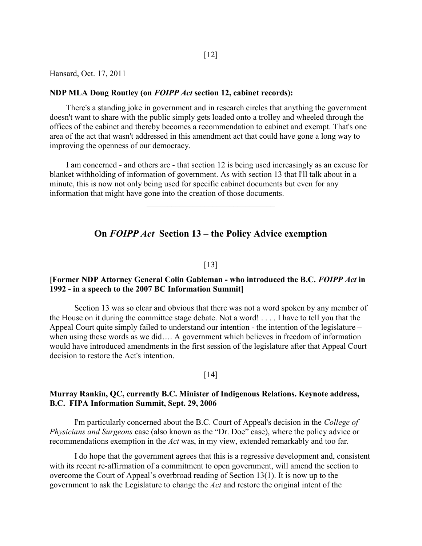Hansard, Oct. 17, 2011

### NDP MLA Doug Routley (on FOIPP Act section 12, cabinet records):

There's a standing joke in government and in research circles that anything the government doesn't want to share with the public simply gets loaded onto a trolley and wheeled through the offices of the cabinet and thereby becomes a recommendation to cabinet and exempt. That's one area of the act that wasn't addressed in this amendment act that could have gone a long way to improving the openness of our democracy.

I am concerned - and others are - that section 12 is being used increasingly as an excuse for blanket withholding of information of government. As with section 13 that I'll talk about in a minute, this is now not only being used for specific cabinet documents but even for any information that might have gone into the creation of those documents.

### On FOIPP Act Section 13 – the Policy Advice exemption

#### [13]

### [Former NDP Attorney General Colin Gableman - who introduced the B.C. FOIPP Act in 1992 - in a speech to the 2007 BC Information Summit]

Section 13 was so clear and obvious that there was not a word spoken by any member of the House on it during the committee stage debate. Not a word! . . . . I have to tell you that the Appeal Court quite simply failed to understand our intention - the intention of the legislature – when using these words as we did…. A government which believes in freedom of information would have introduced amendments in the first session of the legislature after that Appeal Court decision to restore the Act's intention.

#### $\lceil 14 \rceil$

## Murray Rankin, QC, currently B.C. Minister of Indigenous Relations. Keynote address, B.C. FIPA Information Summit, Sept. 29, 2006

I'm particularly concerned about the B.C. Court of Appeal's decision in the College of Physicians and Surgeons case (also known as the "Dr. Doe" case), where the policy advice or recommendations exemption in the Act was, in my view, extended remarkably and too far.

I do hope that the government agrees that this is a regressive development and, consistent with its recent re-affirmation of a commitment to open government, will amend the section to overcome the Court of Appeal's overbroad reading of Section 13(1). It is now up to the government to ask the Legislature to change the Act and restore the original intent of the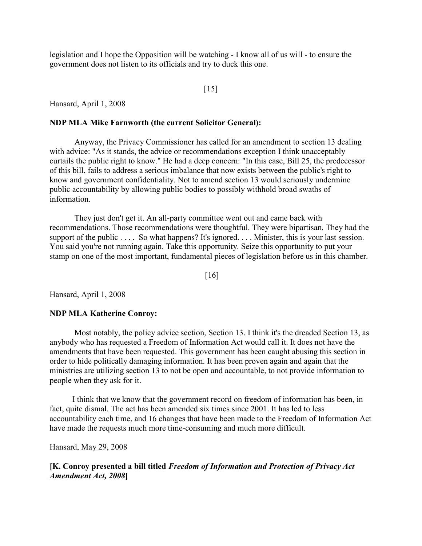legislation and I hope the Opposition will be watching - I know all of us will - to ensure the government does not listen to its officials and try to duck this one.

### $\lceil 15 \rceil$

Hansard, April 1, 2008

### NDP MLA Mike Farnworth (the current Solicitor General):

 Anyway, the Privacy Commissioner has called for an amendment to section 13 dealing with advice: "As it stands, the advice or recommendations exception I think unacceptably curtails the public right to know." He had a deep concern: "In this case, Bill 25, the predecessor of this bill, fails to address a serious imbalance that now exists between the public's right to know and government confidentiality. Not to amend section 13 would seriously undermine public accountability by allowing public bodies to possibly withhold broad swaths of information.

They just don't get it. An all-party committee went out and came back with recommendations. Those recommendations were thoughtful. They were bipartisan. They had the support of the public . . . . So what happens? It's ignored. . . . Minister, this is your last session. You said you're not running again. Take this opportunity. Seize this opportunity to put your stamp on one of the most important, fundamental pieces of legislation before us in this chamber.

[16]

Hansard, April 1, 2008

#### NDP MLA Katherine Conroy:

 Most notably, the policy advice section, Section 13. I think it's the dreaded Section 13, as anybody who has requested a Freedom of Information Act would call it. It does not have the amendments that have been requested. This government has been caught abusing this section in order to hide politically damaging information. It has been proven again and again that the ministries are utilizing section 13 to not be open and accountable, to not provide information to people when they ask for it.

 I think that we know that the government record on freedom of information has been, in fact, quite dismal. The act has been amended six times since 2001. It has led to less accountability each time, and 16 changes that have been made to the Freedom of Information Act have made the requests much more time-consuming and much more difficult.

Hansard, May 29, 2008

## [K. Conroy presented a bill titled Freedom of Information and Protection of Privacy Act Amendment Act, 2008]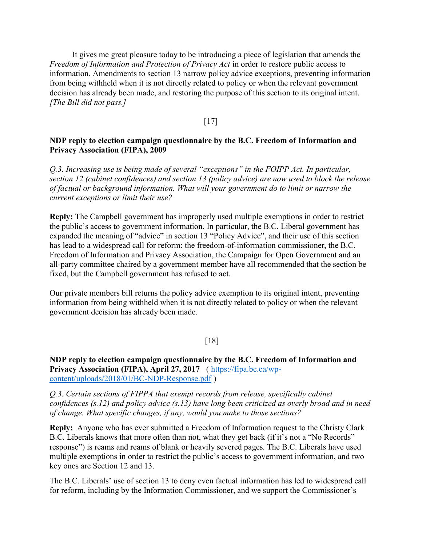It gives me great pleasure today to be introducing a piece of legislation that amends the Freedom of Information and Protection of Privacy Act in order to restore public access to information. Amendments to section 13 narrow policy advice exceptions, preventing information from being withheld when it is not directly related to policy or when the relevant government decision has already been made, and restoring the purpose of this section to its original intent. [The Bill did not pass.]

## [17]

### NDP reply to election campaign questionnaire by the B.C. Freedom of Information and Privacy Association (FIPA), 2009

Q.3. Increasing use is being made of several "exceptions" in the FOIPP Act. In particular, section 12 (cabinet confidences) and section 13 (policy advice) are now used to block the release of factual or background information. What will your government do to limit or narrow the current exceptions or limit their use?

Reply: The Campbell government has improperly used multiple exemptions in order to restrict the public's access to government information. In particular, the B.C. Liberal government has expanded the meaning of "advice" in section 13 "Policy Advice", and their use of this section has lead to a widespread call for reform: the freedom-of-information commissioner, the B.C. Freedom of Information and Privacy Association, the Campaign for Open Government and an all-party committee chaired by a government member have all recommended that the section be fixed, but the Campbell government has refused to act.

Our private members bill returns the policy advice exemption to its original intent, preventing information from being withheld when it is not directly related to policy or when the relevant government decision has already been made.

## [18]

NDP reply to election campaign questionnaire by the B.C. Freedom of Information and Privacy Association (FIPA), April 27, 2017 ( https://fipa.bc.ca/wpcontent/uploads/2018/01/BC-NDP-Response.pdf )

Q.3. Certain sections of FIPPA that exempt records from release, specifically cabinet confidences (s.12) and policy advice (s.13) have long been criticized as overly broad and in need of change. What specific changes, if any, would you make to those sections?

Reply: Anyone who has ever submitted a Freedom of Information request to the Christy Clark B.C. Liberals knows that more often than not, what they get back (if it's not a "No Records" response") is reams and reams of blank or heavily severed pages. The B.C. Liberals have used multiple exemptions in order to restrict the public's access to government information, and two key ones are Section 12 and 13.

The B.C. Liberals' use of section 13 to deny even factual information has led to widespread call for reform, including by the Information Commissioner, and we support the Commissioner's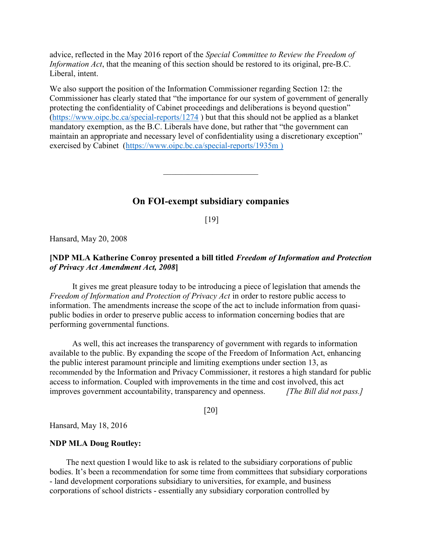advice, reflected in the May 2016 report of the Special Committee to Review the Freedom of Information Act, that the meaning of this section should be restored to its original, pre-B.C. Liberal, intent.

We also support the position of the Information Commissioner regarding Section 12: the Commissioner has clearly stated that "the importance for our system of government of generally protecting the confidentiality of Cabinet proceedings and deliberations is beyond question" (https://www.oipc.bc.ca/special-reports/1274 ) but that this should not be applied as a blanket mandatory exemption, as the B.C. Liberals have done, but rather that "the government can maintain an appropriate and necessary level of confidentiality using a discretionary exception" exercised by Cabinet (https://www.oipc.bc.ca/special-reports/1935m )

## On FOI-exempt subsidiary companies

[19]

Hansard, May 20, 2008

## [NDP MLA Katherine Conroy presented a bill titled Freedom of Information and Protection of Privacy Act Amendment Act, 2008]

 It gives me great pleasure today to be introducing a piece of legislation that amends the Freedom of Information and Protection of Privacy Act in order to restore public access to information. The amendments increase the scope of the act to include information from quasipublic bodies in order to preserve public access to information concerning bodies that are performing governmental functions.

 As well, this act increases the transparency of government with regards to information available to the public. By expanding the scope of the Freedom of Information Act, enhancing the public interest paramount principle and limiting exemptions under section 13, as recommended by the Information and Privacy Commissioner, it restores a high standard for public access to information. Coupled with improvements in the time and cost involved, this act improves government accountability, transparency and openness. [The Bill did not pass.]

[20]

Hansard, May 18, 2016

## NDP MLA Doug Routley:

The next question I would like to ask is related to the subsidiary corporations of public bodies. It's been a recommendation for some time from committees that subsidiary corporations - land development corporations subsidiary to universities, for example, and business corporations of school districts - essentially any subsidiary corporation controlled by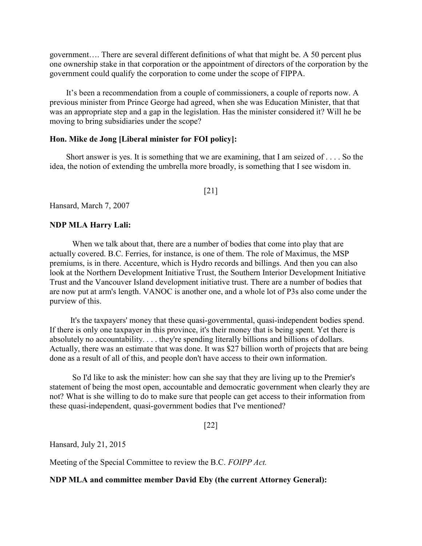government…. There are several different definitions of what that might be. A 50 percent plus one ownership stake in that corporation or the appointment of directors of the corporation by the government could qualify the corporation to come under the scope of FIPPA.

It's been a recommendation from a couple of commissioners, a couple of reports now. A previous minister from Prince George had agreed, when she was Education Minister, that that was an appropriate step and a gap in the legislation. Has the minister considered it? Will he be moving to bring subsidiaries under the scope?

### Hon. Mike de Jong [Liberal minister for FOI policy]:

Short answer is yes. It is something that we are examining, that I am seized of . . . . So the idea, the notion of extending the umbrella more broadly, is something that I see wisdom in.

[21]

Hansard, March 7, 2007

### NDP MLA Harry Lali:

 When we talk about that, there are a number of bodies that come into play that are actually covered. B.C. Ferries, for instance, is one of them. The role of Maximus, the MSP premiums, is in there. Accenture, which is Hydro records and billings. And then you can also look at the Northern Development Initiative Trust, the Southern Interior Development Initiative Trust and the Vancouver Island development initiative trust. There are a number of bodies that are now put at arm's length. VANOC is another one, and a whole lot of P3s also come under the purview of this.

 It's the taxpayers' money that these quasi-governmental, quasi-independent bodies spend. If there is only one taxpayer in this province, it's their money that is being spent. Yet there is absolutely no accountability. . . . they're spending literally billions and billions of dollars. Actually, there was an estimate that was done. It was \$27 billion worth of projects that are being done as a result of all of this, and people don't have access to their own information.

 So I'd like to ask the minister: how can she say that they are living up to the Premier's statement of being the most open, accountable and democratic government when clearly they are not? What is she willing to do to make sure that people can get access to their information from these quasi-independent, quasi-government bodies that I've mentioned?

[22]

Hansard, July 21, 2015

Meeting of the Special Committee to review the B.C. FOIPP Act.

NDP MLA and committee member David Eby (the current Attorney General):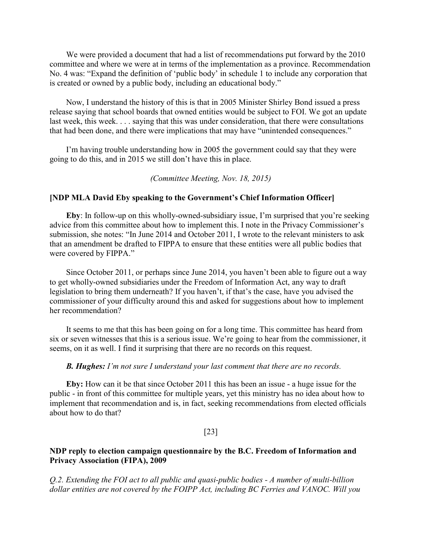We were provided a document that had a list of recommendations put forward by the 2010 committee and where we were at in terms of the implementation as a province. Recommendation No. 4 was: "Expand the definition of 'public body' in schedule 1 to include any corporation that is created or owned by a public body, including an educational body."

Now, I understand the history of this is that in 2005 Minister Shirley Bond issued a press release saying that school boards that owned entities would be subject to FOI. We got an update last week, this week. . . . saying that this was under consideration, that there were consultations that had been done, and there were implications that may have "unintended consequences."

I'm having trouble understanding how in 2005 the government could say that they were going to do this, and in 2015 we still don't have this in place.

### (Committee Meeting, Nov. 18, 2015)

### [NDP MLA David Eby speaking to the Government's Chief Information Officer]

Eby: In follow-up on this wholly-owned-subsidiary issue, I'm surprised that you're seeking advice from this committee about how to implement this. I note in the Privacy Commissioner's submission, she notes: "In June 2014 and October 2011, I wrote to the relevant ministers to ask that an amendment be drafted to FIPPA to ensure that these entities were all public bodies that were covered by FIPPA."

Since October 2011, or perhaps since June 2014, you haven't been able to figure out a way to get wholly-owned subsidiaries under the Freedom of Information Act, any way to draft legislation to bring them underneath? If you haven't, if that's the case, have you advised the commissioner of your difficulty around this and asked for suggestions about how to implement her recommendation?

It seems to me that this has been going on for a long time. This committee has heard from six or seven witnesses that this is a serious issue. We're going to hear from the commissioner, it seems, on it as well. I find it surprising that there are no records on this request.

#### **B. Hughes:** I'm not sure I understand your last comment that there are no records.

Eby: How can it be that since October 2011 this has been an issue - a huge issue for the public - in front of this committee for multiple years, yet this ministry has no idea about how to implement that recommendation and is, in fact, seeking recommendations from elected officials about how to do that?

### [23]

## NDP reply to election campaign questionnaire by the B.C. Freedom of Information and Privacy Association (FIPA), 2009

Q.2. Extending the FOI act to all public and quasi-public bodies - A number of multi-billion dollar entities are not covered by the FOIPP Act, including BC Ferries and VANOC. Will you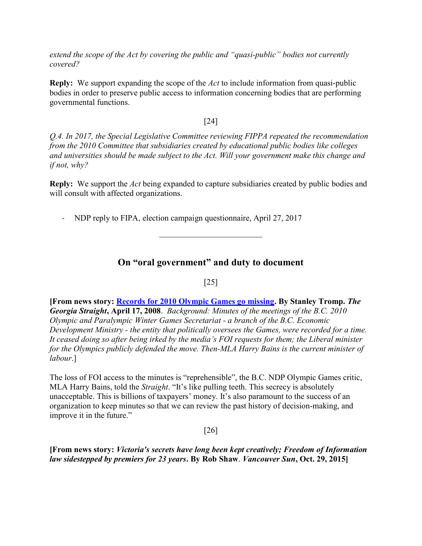extend the scope of the Act by covering the public and "quasi-public" bodies not currently covered?

**Reply:** We support expanding the scope of the Act to include information from quasi-public bodies in order to preserve public access to information concerning bodies that are performing governmental functions.

## [24]

Q.4. In 2017, the Special Legislative Committee reviewing FIPPA repeated the recommendation from the 2010 Committee that subsidiaries created by educational public bodies like colleges and universities should be made subject to the Act. Will your government make this change and if not, why?

**Reply:** We support the Act being expanded to capture subsidiaries created by public bodies and will consult with affected organizations.

- NDP reply to FIPA, election campaign questionnaire, April 27, 2017

## On "oral government" and duty to document

## [25]

[From news story: Records for 2010 Olympic Games go missing. By Stanley Tromp. The Georgia Straight, April 17, 2008. Background: Minutes of the meetings of the B.C. 2010 Olympic and Paralympic Winter Games Secretariat - a branch of the B.C. Economic Development Ministry - the entity that politically oversees the Games, were recorded for a time. It ceased doing so after being irked by the media's FOI requests for them; the Liberal minister for the Olympics publicly defended the move. Then-MLA Harry Bains is the current minister of labour.]

The loss of FOI access to the minutes is "reprehensible", the B.C. NDP Olympic Games critic, MLA Harry Bains, told the *Straight*. "It's like pulling teeth. This secrecy is absolutely unacceptable. This is billions of taxpayers' money. It's also paramount to the success of an organization to keep minutes so that we can review the past history of decision-making, and improve it in the future."

## [26]

[From news story: Victoria's secrets have long been kept creatively; Freedom of Information law sidestepped by premiers for 23 years. By Rob Shaw. Vancouver Sun, Oct. 29, 2015]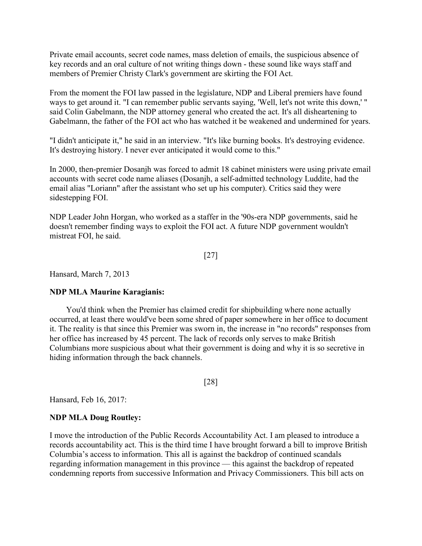Private email accounts, secret code names, mass deletion of emails, the suspicious absence of key records and an oral culture of not writing things down - these sound like ways staff and members of Premier Christy Clark's government are skirting the FOI Act.

From the moment the FOI law passed in the legislature, NDP and Liberal premiers have found ways to get around it. "I can remember public servants saying, 'Well, let's not write this down,' " said Colin Gabelmann, the NDP attorney general who created the act. It's all disheartening to Gabelmann, the father of the FOI act who has watched it be weakened and undermined for years.

"I didn't anticipate it," he said in an interview. "It's like burning books. It's destroying evidence. It's destroying history. I never ever anticipated it would come to this."

In 2000, then-premier Dosanjh was forced to admit 18 cabinet ministers were using private email accounts with secret code name aliases (Dosanjh, a self-admitted technology Luddite, had the email alias "Loriann" after the assistant who set up his computer). Critics said they were sidestepping FOI.

NDP Leader John Horgan, who worked as a staffer in the '90s-era NDP governments, said he doesn't remember finding ways to exploit the FOI act. A future NDP government wouldn't mistreat FOI, he said.

[27]

Hansard, March 7, 2013

## NDP MLA Maurine Karagianis:

You'd think when the Premier has claimed credit for shipbuilding where none actually occurred, at least there would've been some shred of paper somewhere in her office to document it. The reality is that since this Premier was sworn in, the increase in "no records" responses from her office has increased by 45 percent. The lack of records only serves to make British Columbians more suspicious about what their government is doing and why it is so secretive in hiding information through the back channels.

[28]

Hansard, Feb 16, 2017:

## NDP MLA Doug Routley:

I move the introduction of the Public Records Accountability Act. I am pleased to introduce a records accountability act. This is the third time I have brought forward a bill to improve British Columbia's access to information. This all is against the backdrop of continued scandals regarding information management in this province — this against the backdrop of repeated condemning reports from successive Information and Privacy Commissioners. This bill acts on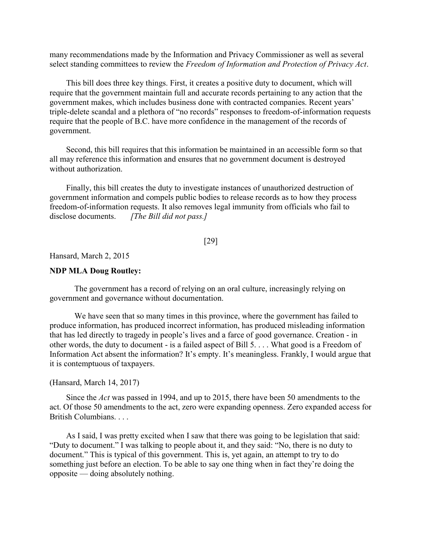many recommendations made by the Information and Privacy Commissioner as well as several select standing committees to review the Freedom of Information and Protection of Privacy Act.

This bill does three key things. First, it creates a positive duty to document, which will require that the government maintain full and accurate records pertaining to any action that the government makes, which includes business done with contracted companies. Recent years' triple-delete scandal and a plethora of "no records" responses to freedom-of-information requests require that the people of B.C. have more confidence in the management of the records of government.

Second, this bill requires that this information be maintained in an accessible form so that all may reference this information and ensures that no government document is destroyed without authorization.

Finally, this bill creates the duty to investigate instances of unauthorized destruction of government information and compels public bodies to release records as to how they process freedom-of-information requests. It also removes legal immunity from officials who fail to disclose documents. [The Bill did not pass.]

### [29]

Hansard, March 2, 2015

## NDP MLA Doug Routley:

 The government has a record of relying on an oral culture, increasingly relying on government and governance without documentation.

We have seen that so many times in this province, where the government has failed to produce information, has produced incorrect information, has produced misleading information that has led directly to tragedy in people's lives and a farce of good governance. Creation - in other words, the duty to document - is a failed aspect of Bill 5. . . . What good is a Freedom of Information Act absent the information? It's empty. It's meaningless. Frankly, I would argue that it is contemptuous of taxpayers.

### (Hansard, March 14, 2017)

Since the Act was passed in 1994, and up to 2015, there have been 50 amendments to the act. Of those 50 amendments to the act, zero were expanding openness. Zero expanded access for British Columbians. . . .

As I said, I was pretty excited when I saw that there was going to be legislation that said: "Duty to document." I was talking to people about it, and they said: "No, there is no duty to document." This is typical of this government. This is, yet again, an attempt to try to do something just before an election. To be able to say one thing when in fact they're doing the opposite — doing absolutely nothing.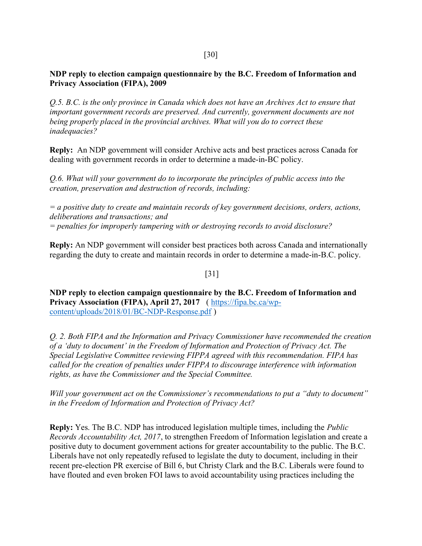[30]

NDP reply to election campaign questionnaire by the B.C. Freedom of Information and Privacy Association (FIPA), 2009

Q.5. B.C. is the only province in Canada which does not have an Archives Act to ensure that important government records are preserved. And currently, government documents are not being properly placed in the provincial archives. What will you do to correct these inadequacies?

Reply: An NDP government will consider Archive acts and best practices across Canada for dealing with government records in order to determine a made-in-BC policy.

Q.6. What will your government do to incorporate the principles of public access into the creation, preservation and destruction of records, including:

 $=$  a positive duty to create and maintain records of key government decisions, orders, actions, deliberations and transactions; and = penalties for improperly tampering with or destroying records to avoid disclosure?

Reply: An NDP government will consider best practices both across Canada and internationally regarding the duty to create and maintain records in order to determine a made-in-B.C. policy.

[31]

NDP reply to election campaign questionnaire by the B.C. Freedom of Information and Privacy Association (FIPA), April 27, 2017 ( https://fipa.bc.ca/wpcontent/uploads/2018/01/BC-NDP-Response.pdf )

Q. 2. Both FIPA and the Information and Privacy Commissioner have recommended the creation of a 'duty to document' in the Freedom of Information and Protection of Privacy Act. The Special Legislative Committee reviewing FIPPA agreed with this recommendation. FIPA has called for the creation of penalties under FIPPA to discourage interference with information rights, as have the Commissioner and the Special Committee.

Will your government act on the Commissioner's recommendations to put a "duty to document" in the Freedom of Information and Protection of Privacy Act?

Reply: Yes. The B.C. NDP has introduced legislation multiple times, including the Public Records Accountability Act, 2017, to strengthen Freedom of Information legislation and create a positive duty to document government actions for greater accountability to the public. The B.C. Liberals have not only repeatedly refused to legislate the duty to document, including in their recent pre-election PR exercise of Bill 6, but Christy Clark and the B.C. Liberals were found to have flouted and even broken FOI laws to avoid accountability using practices including the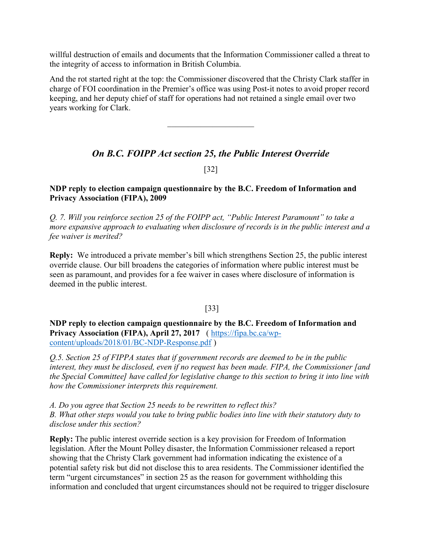willful destruction of emails and documents that the Information Commissioner called a threat to the integrity of access to information in British Columbia.

And the rot started right at the top: the Commissioner discovered that the Christy Clark staffer in charge of FOI coordination in the Premier's office was using Post-it notes to avoid proper record keeping, and her deputy chief of staff for operations had not retained a single email over two years working for Clark.

## On B.C. FOIPP Act section 25, the Public Interest Override

[32]

## NDP reply to election campaign questionnaire by the B.C. Freedom of Information and Privacy Association (FIPA), 2009

Q. 7. Will you reinforce section 25 of the FOIPP act, "Public Interest Paramount" to take a more expansive approach to evaluating when disclosure of records is in the public interest and a fee waiver is merited?

Reply: We introduced a private member's bill which strengthens Section 25, the public interest override clause. Our bill broadens the categories of information where public interest must be seen as paramount, and provides for a fee waiver in cases where disclosure of information is deemed in the public interest.

## [33]

NDP reply to election campaign questionnaire by the B.C. Freedom of Information and Privacy Association (FIPA), April 27, 2017 ( https://fipa.bc.ca/wpcontent/uploads/2018/01/BC-NDP-Response.pdf )

Q.5. Section 25 of FIPPA states that if government records are deemed to be in the public interest, they must be disclosed, even if no request has been made. FIPA, the Commissioner [and the Special Committee] have called for legislative change to this section to bring it into line with how the Commissioner interprets this requirement.

A. Do you agree that Section 25 needs to be rewritten to reflect this? B. What other steps would you take to bring public bodies into line with their statutory duty to disclose under this section?

Reply: The public interest override section is a key provision for Freedom of Information legislation. After the Mount Polley disaster, the Information Commissioner released a report showing that the Christy Clark government had information indicating the existence of a potential safety risk but did not disclose this to area residents. The Commissioner identified the term "urgent circumstances" in section 25 as the reason for government withholding this information and concluded that urgent circumstances should not be required to trigger disclosure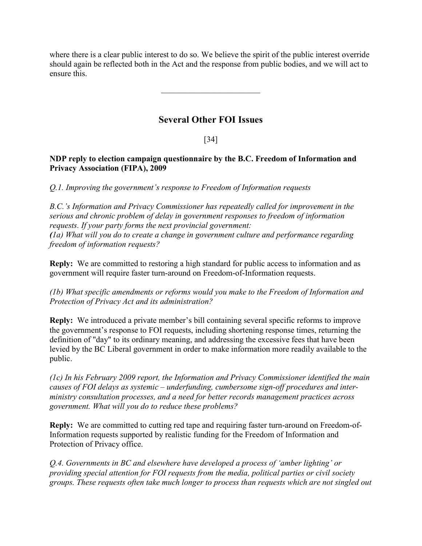where there is a clear public interest to do so. We believe the spirit of the public interest override should again be reflected both in the Act and the response from public bodies, and we will act to ensure this.

## Several Other FOI Issues

## [34]

## NDP reply to election campaign questionnaire by the B.C. Freedom of Information and Privacy Association (FIPA), 2009

Q.1. Improving the government's response to Freedom of Information requests

B.C.'s Information and Privacy Commissioner has repeatedly called for improvement in the serious and chronic problem of delay in government responses to freedom of information requests. If your party forms the next provincial government: (1a) What will you do to create a change in government culture and performance regarding freedom of information requests?

Reply: We are committed to restoring a high standard for public access to information and as government will require faster turn-around on Freedom-of-Information requests.

(1b) What specific amendments or reforms would you make to the Freedom of Information and Protection of Privacy Act and its administration?

Reply: We introduced a private member's bill containing several specific reforms to improve the government's response to FOI requests, including shortening response times, returning the definition of "day" to its ordinary meaning, and addressing the excessive fees that have been levied by the BC Liberal government in order to make information more readily available to the public.

(1c) In his February 2009 report, the Information and Privacy Commissioner identified the main causes of FOI delays as systemic – underfunding, cumbersome sign-off procedures and interministry consultation processes, and a need for better records management practices across government. What will you do to reduce these problems?

Reply: We are committed to cutting red tape and requiring faster turn-around on Freedom-of-Information requests supported by realistic funding for the Freedom of Information and Protection of Privacy office.

Q.4. Governments in BC and elsewhere have developed a process of 'amber lighting' or providing special attention for FOI requests from the media, political parties or civil society groups. These requests often take much longer to process than requests which are not singled out